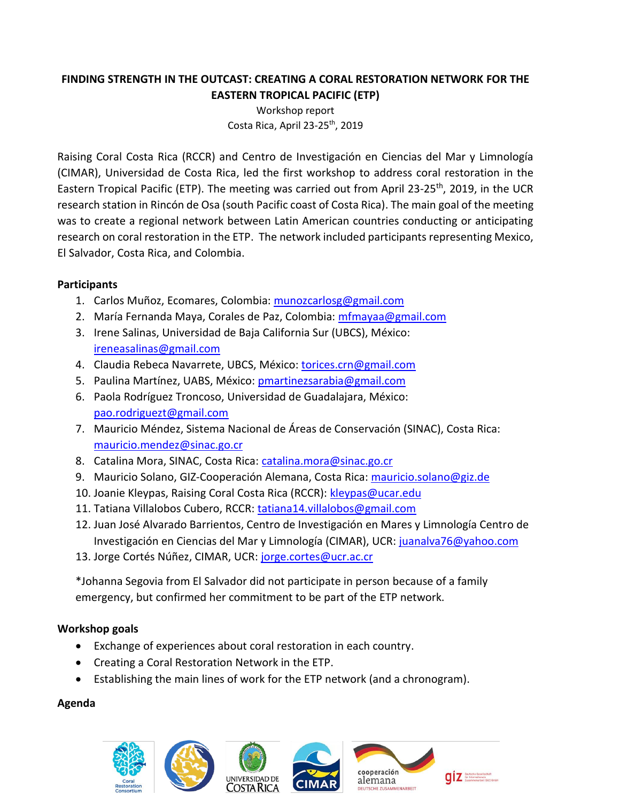## **FINDING STRENGTH IN THE OUTCAST: CREATING A CORAL RESTORATION NETWORK FOR THE EASTERN TROPICAL PACIFIC (ETP)**

Workshop report Costa Rica, April  $23-25$ <sup>th</sup>, 2019

Raising Coral Costa Rica (RCCR) and Centro de Investigación en Ciencias del Mar y Limnología (CIMAR), Universidad de Costa Rica, led the first workshop to address coral restoration in the Eastern Tropical Pacific (ETP). The meeting was carried out from April 23-25<sup>th</sup>, 2019, in the UCR research station in Rincón de Osa (south Pacific coast of Costa Rica). The main goal of the meeting was to create a regional network between Latin American countries conducting or anticipating research on coral restoration in the ETP. The network included participants representing Mexico, El Salvador, Costa Rica, and Colombia.

### **Participants**

- 1. Carlos Muñoz, Ecomares, Colombia: [munozcarlosg@gmail.com](mailto:munozcarlosg@gmail.com)
- 2. María Fernanda Maya, Corales de Paz, Colombia: [mfmayaa@gmail.com](mailto:mfmayaa@gmail.com)
- 3. Irene Salinas, Universidad de Baja California Sur (UBCS), México: [ireneasalinas@gmail.com](mailto:ireneasalinas@gmail.com)
- 4. Claudia Rebeca Navarrete, UBCS, México: [torices.crn@gmail.com](mailto:torices.crn@gmail.com)
- 5. Paulina Martínez, UABS, México: [pmartinezsarabia@gmail.com](mailto:pmartinezsarabia@gmail.com)
- 6. Paola Rodríguez Troncoso, Universidad de Guadalajara, México: [pao.rodriguezt@gmail.com](mailto:pao.rodriguezt@gmail.com)
- 7. Mauricio Méndez, Sistema Nacional de Áreas de Conservación (SINAC), Costa Rica: [mauricio.mendez@sinac.go.cr](mailto:mauricio.mendez@sinac.go.cr)
- 8. Catalina Mora, SINAC, Costa Rica: [catalina.mora@sinac.go.cr](mailto:catalina.mora@sinac.go.cr)
- 9. Mauricio Solano, GIZ-Cooperación Alemana, Costa Rica: [mauricio.solano@giz.de](mailto:mauricio.solano@giz.de)
- 10. Joanie Kleypas, Raising Coral Costa Rica (RCCR): [kleypas@ucar.edu](mailto:kleypas@ucar.edu)
- 11. Tatiana Villalobos Cubero, RCCR: [tatiana14.villalobos@gmail.com](mailto:tatiana14.villalobos@gmail.com)
- 12. Juan José Alvarado Barrientos, Centro de Investigación en Mares y Limnología Centro de Investigación en Ciencias del Mar y Limnología (CIMAR), UCR: [juanalva76@yahoo.com](mailto:juanalva76@yahoo.com)
- 13. Jorge Cortés Núñez, CIMAR, UCR: [jorge.cortes@ucr.ac.cr](mailto:jorge.cortes@ucr.ac.cr)

\*Johanna Segovia from El Salvador did not participate in person because of a family emergency, but confirmed her commitment to be part of the ETP network.

# **Workshop goals**

- Exchange of experiences about coral restoration in each country.
- Creating a Coral Restoration Network in the ETP.
- Establishing the main lines of work for the ETP network (and a chronogram).

# **Agenda**









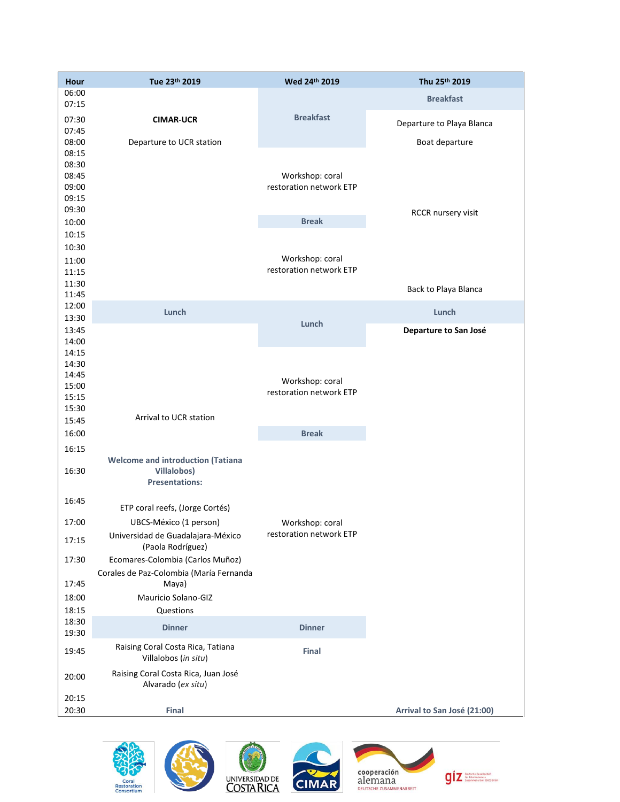| 06:00                                                                                      |  |
|--------------------------------------------------------------------------------------------|--|
| <b>Breakfast</b>                                                                           |  |
| 07:15<br><b>Breakfast</b>                                                                  |  |
| 07:30<br><b>CIMAR-UCR</b><br>Departure to Playa Blanca<br>07:45                            |  |
| 08:00<br>Departure to UCR station<br>Boat departure                                        |  |
| 08:15                                                                                      |  |
| 08:30                                                                                      |  |
| 08:45<br>Workshop: coral                                                                   |  |
| restoration network ETP<br>09:00<br>09:15                                                  |  |
| 09:30                                                                                      |  |
| RCCR nursery visit<br><b>Break</b><br>10:00                                                |  |
| 10:15                                                                                      |  |
| 10:30                                                                                      |  |
| Workshop: coral<br>11:00                                                                   |  |
| restoration network ETP<br>11:15                                                           |  |
| 11:30<br>Back to Playa Blanca                                                              |  |
| 11:45                                                                                      |  |
| 12:00<br>Lunch<br>Lunch                                                                    |  |
| 13:30<br>Lunch<br>13:45<br>Departure to San José                                           |  |
| 14:00                                                                                      |  |
| 14:15                                                                                      |  |
| 14:30                                                                                      |  |
| 14:45<br>Workshop: coral                                                                   |  |
| 15:00<br>restoration network ETP                                                           |  |
| 15:15<br>15:30                                                                             |  |
| Arrival to UCR station<br>15:45                                                            |  |
| <b>Break</b><br>16:00                                                                      |  |
| 16:15                                                                                      |  |
| <b>Welcome and introduction (Tatiana</b>                                                   |  |
| 16:30<br><b>Villalobos)</b>                                                                |  |
| <b>Presentations:</b>                                                                      |  |
| 16:45                                                                                      |  |
| ETP coral reefs, (Jorge Cortés)                                                            |  |
| 17:00<br>UBCS-México (1 person)<br>Workshop: coral                                         |  |
| restoration network ETP<br>Universidad de Guadalajara-México<br>17:15<br>(Paola Rodríguez) |  |
| 17:30<br>Ecomares-Colombia (Carlos Muñoz)                                                  |  |
| Corales de Paz-Colombia (María Fernanda                                                    |  |
| 17:45<br>Maya)                                                                             |  |
| Mauricio Solano-GIZ<br>18:00                                                               |  |
| 18:15<br>Questions                                                                         |  |
| 18:30<br><b>Dinner</b><br><b>Dinner</b>                                                    |  |
| 19:30                                                                                      |  |
| Raising Coral Costa Rica, Tatiana<br>19:45<br>Final<br>Villalobos (in situ)                |  |
| Raising Coral Costa Rica, Juan José<br>20:00<br>Alvarado (ex situ)                         |  |
| 20:15                                                                                      |  |
| 20:30<br>Final<br>Arrival to San José (21:00)                                              |  |









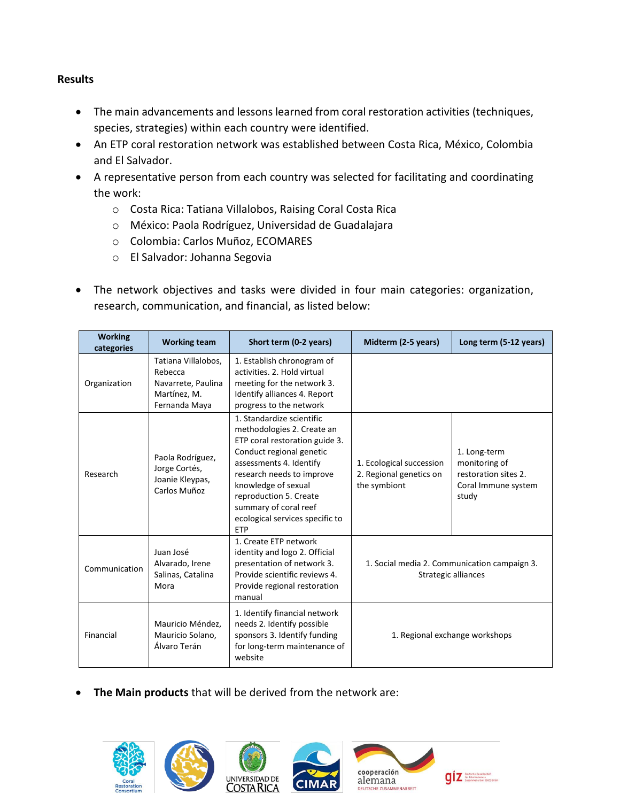#### **Results**

- The main advancements and lessons learned from coral restoration activities (techniques, species, strategies) within each country were identified.
- An ETP coral restoration network was established between Costa Rica, México, Colombia and El Salvador.
- A representative person from each country was selected for facilitating and coordinating the work:
	- o Costa Rica: Tatiana Villalobos, Raising Coral Costa Rica
	- o México: Paola Rodríguez, Universidad de Guadalajara
	- o Colombia: Carlos Muñoz, ECOMARES
	- o El Salvador: Johanna Segovia
- The network objectives and tasks were divided in four main categories: organization, research, communication, and financial, as listed below:

| <b>Working</b><br>categories | <b>Working team</b>                                                                   | Short term (0-2 years)                                                                                                                                                                                                                                                                                   | Midterm (2-5 years)                                                 | Long term (5-12 years)                                                                |
|------------------------------|---------------------------------------------------------------------------------------|----------------------------------------------------------------------------------------------------------------------------------------------------------------------------------------------------------------------------------------------------------------------------------------------------------|---------------------------------------------------------------------|---------------------------------------------------------------------------------------|
| Organization                 | Tatiana Villalobos,<br>Rebecca<br>Navarrete, Paulina<br>Martínez, M.<br>Fernanda Maya | 1. Establish chronogram of<br>activities, 2. Hold virtual<br>meeting for the network 3.<br>Identify alliances 4. Report<br>progress to the network                                                                                                                                                       |                                                                     |                                                                                       |
| Research                     | Paola Rodríguez,<br>Jorge Cortés,<br>Joanie Kleypas,<br>Carlos Muñoz                  | 1. Standardize scientific<br>methodologies 2. Create an<br>ETP coral restoration guide 3.<br>Conduct regional genetic<br>assessments 4. Identify<br>research needs to improve<br>knowledge of sexual<br>reproduction 5. Create<br>summary of coral reef<br>ecological services specific to<br><b>ETP</b> | 1. Ecological succession<br>2. Regional genetics on<br>the symbiont | 1. Long-term<br>monitoring of<br>restoration sites 2.<br>Coral Immune system<br>study |
| Communication                | Juan José<br>Alvarado, Irene<br>Salinas, Catalina<br>Mora                             | 1. Create ETP network<br>identity and logo 2. Official<br>presentation of network 3.<br>Provide scientific reviews 4.<br>Provide regional restoration<br>manual                                                                                                                                          |                                                                     | 1. Social media 2. Communication campaign 3.<br>Strategic alliances                   |
| Financial                    | Mauricio Méndez,<br>Mauricio Solano,<br>Álvaro Terán                                  | 1. Identify financial network<br>needs 2. Identify possible<br>sponsors 3. Identify funding<br>for long-term maintenance of<br>website                                                                                                                                                                   | 1. Regional exchange workshops                                      |                                                                                       |

**The Main products** that will be derived from the network are:





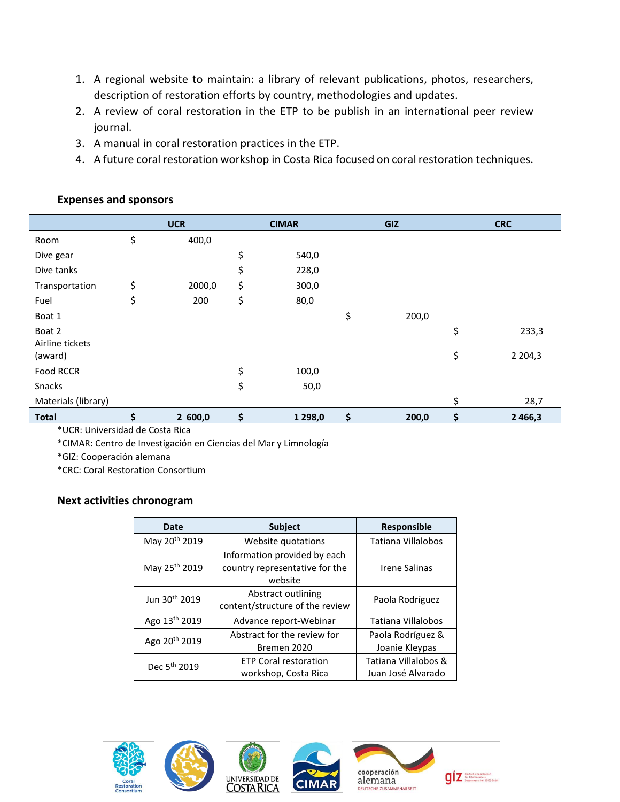- 1. A regional website to maintain: a library of relevant publications, photos, researchers, description of restoration efforts by country, methodologies and updates.
- 2. A review of coral restoration in the ETP to be publish in an international peer review journal.
- 3. A manual in coral restoration practices in the ETP.
- 4. A future coral restoration workshop in Costa Rica focused on coral restoration techniques.

|                     | <b>UCR</b>   | <b>CIMAR</b>    | GIZ         | <b>CRC</b>        |
|---------------------|--------------|-----------------|-------------|-------------------|
| Room                | \$<br>400,0  |                 |             |                   |
| Dive gear           |              | \$<br>540,0     |             |                   |
| Dive tanks          |              | \$<br>228,0     |             |                   |
| Transportation      | \$<br>2000,0 | \$<br>300,0     |             |                   |
| Fuel                | \$<br>200    | \$<br>80,0      |             |                   |
| Boat 1              |              |                 | \$<br>200,0 |                   |
| Boat 2              |              |                 |             | \$<br>233,3       |
| Airline tickets     |              |                 |             |                   |
| (award)             |              |                 |             | \$<br>2 2 0 4 , 3 |
| Food RCCR           |              | \$<br>100,0     |             |                   |
| Snacks              |              | \$<br>50,0      |             |                   |
| Materials (library) |              |                 |             | \$<br>28,7        |
| <b>Total</b>        | \$<br>2600,0 | \$<br>1 2 9 8,0 | \$<br>200,0 | \$<br>2 4 6 6, 3  |

#### **Expenses and sponsors**

\*UCR: Universidad de Costa Rica \*CIMAR: Centro de Investigación en Ciencias del Mar y Limnología

\*GIZ: Cooperación alemana

\*CRC: Coral Restoration Consortium

### **Next activities chronogram**

| <b>Date</b>               | <b>Subject</b>                                                            | <b>Responsible</b>                         |  |  |
|---------------------------|---------------------------------------------------------------------------|--------------------------------------------|--|--|
| May 20 <sup>th</sup> 2019 | Website quotations                                                        | Tatiana Villalobos                         |  |  |
| May 25 <sup>th</sup> 2019 | Information provided by each<br>country representative for the<br>website | Irene Salinas                              |  |  |
| Jun 30 <sup>th</sup> 2019 | Abstract outlining<br>content/structure of the review                     | Paola Rodríguez                            |  |  |
| Ago 13th 2019             | Advance report-Webinar                                                    | Tatiana Villalobos                         |  |  |
| Ago 20 <sup>th</sup> 2019 | Abstract for the review for<br>Bremen 2020                                | Paola Rodríguez &<br>Joanie Kleypas        |  |  |
| Dec 5 <sup>th</sup> 2019  | <b>ETP Coral restoration</b><br>workshop, Costa Rica                      | Tatiana Villalobos &<br>Juan José Alvarado |  |  |